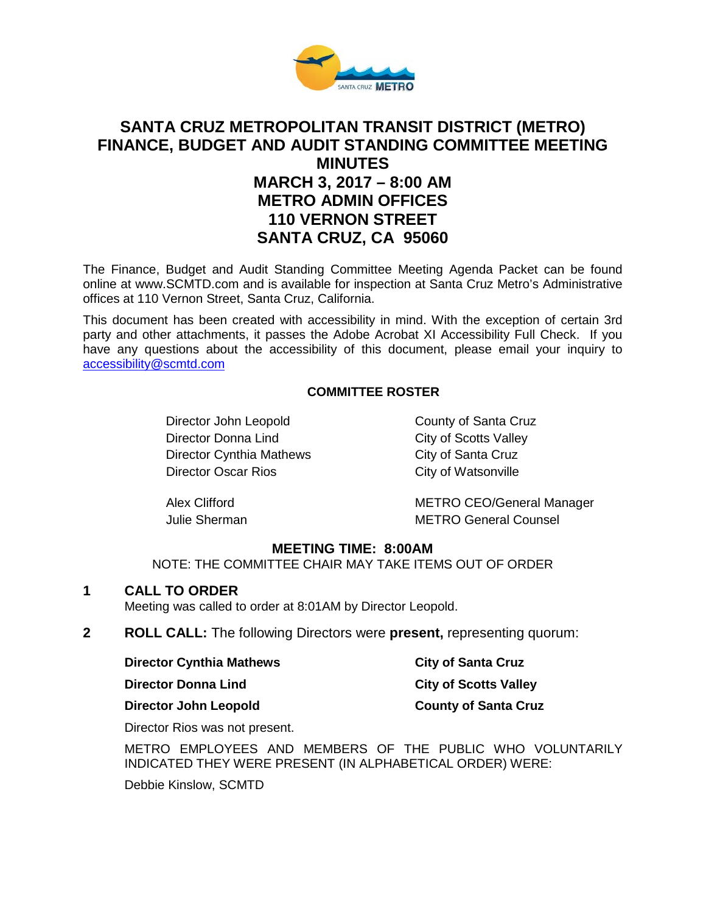

# **SANTA CRUZ METROPOLITAN TRANSIT DISTRICT (METRO) FINANCE, BUDGET AND AUDIT STANDING COMMITTEE MEETING MINUTES MARCH 3, 2017 – 8:00 AM METRO ADMIN OFFICES 110 VERNON STREET SANTA CRUZ, CA 95060**

The Finance, Budget and Audit Standing Committee Meeting Agenda Packet can be found online at www.SCMTD.com and is available for inspection at Santa Cruz Metro's Administrative offices at 110 Vernon Street, Santa Cruz, California.

This document has been created with accessibility in mind. With the exception of certain 3rd party and other attachments, it passes the Adobe Acrobat XI Accessibility Full Check. If you have any questions about the accessibility of this document, please email your inquiry to [accessibility@scmtd.com](mailto:accessibility@scmtd.com)

### **COMMITTEE ROSTER**

Director John Leopold County of Santa Cruz Director Donna Lind City of Scotts Valley Director Cynthia Mathews City of Santa Cruz Director Oscar Rios City of Watsonville

Alex Clifford METRO CEO/General Manager Julie Sherman METRO General Counsel

### **MEETING TIME: 8:00AM**

NOTE: THE COMMITTEE CHAIR MAY TAKE ITEMS OUT OF ORDER

### **1 CALL TO ORDER**

Meeting was called to order at 8:01AM by Director Leopold.

**2 ROLL CALL:** The following Directors were **present,** representing quorum:

| <b>Director Cynthia Mathews</b><br><b>Director Donna Lind</b> | <b>City of Santa Cruz</b><br><b>City of Scotts Valley</b> |
|---------------------------------------------------------------|-----------------------------------------------------------|
|                                                               |                                                           |

Director Rios was not present.

METRO EMPLOYEES AND MEMBERS OF THE PUBLIC WHO VOLUNTARILY INDICATED THEY WERE PRESENT (IN ALPHABETICAL ORDER) WERE:

Debbie Kinslow, SCMTD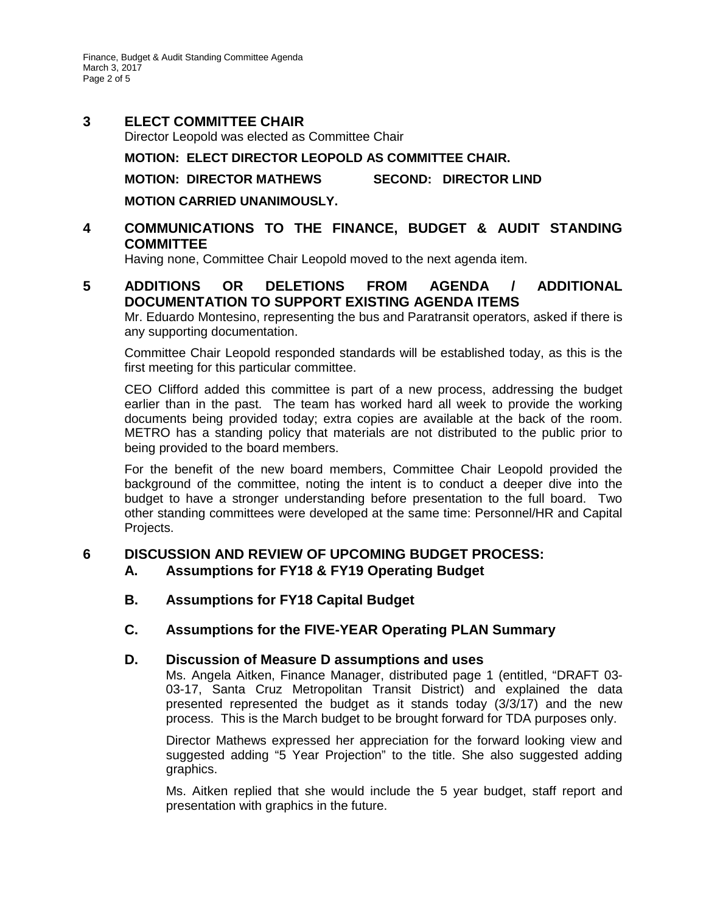Finance, Budget & Audit Standing Committee Agenda March 3, 2017 Page 2 of 5

# **3 ELECT COMMITTEE CHAIR**

Director Leopold was elected as Committee Chair

### **MOTION: ELECT DIRECTOR LEOPOLD AS COMMITTEE CHAIR.**

### **MOTION: DIRECTOR MATHEWS SECOND: DIRECTOR LIND**

**MOTION CARRIED UNANIMOUSLY.** 

# **4 COMMUNICATIONS TO THE FINANCE, BUDGET & AUDIT STANDING COMMITTEE**

Having none, Committee Chair Leopold moved to the next agenda item.

# **5 ADDITIONS OR DELETIONS FROM AGENDA / ADDITIONAL DOCUMENTATION TO SUPPORT EXISTING AGENDA ITEMS**

Mr. Eduardo Montesino, representing the bus and Paratransit operators, asked if there is any supporting documentation.

Committee Chair Leopold responded standards will be established today, as this is the first meeting for this particular committee.

CEO Clifford added this committee is part of a new process, addressing the budget earlier than in the past. The team has worked hard all week to provide the working documents being provided today; extra copies are available at the back of the room. METRO has a standing policy that materials are not distributed to the public prior to being provided to the board members.

For the benefit of the new board members, Committee Chair Leopold provided the background of the committee, noting the intent is to conduct a deeper dive into the budget to have a stronger understanding before presentation to the full board. Two other standing committees were developed at the same time: Personnel/HR and Capital Projects.

# **6 DISCUSSION AND REVIEW OF UPCOMING BUDGET PROCESS:**

- **A. Assumptions for FY18 & FY19 Operating Budget**
- **B. Assumptions for FY18 Capital Budget**

# **C. Assumptions for the FIVE-YEAR Operating PLAN Summary**

### **D. Discussion of Measure D assumptions and uses**

Ms. Angela Aitken, Finance Manager, distributed page 1 (entitled, "DRAFT 03- 03-17, Santa Cruz Metropolitan Transit District) and explained the data presented represented the budget as it stands today (3/3/17) and the new process. This is the March budget to be brought forward for TDA purposes only.

Director Mathews expressed her appreciation for the forward looking view and suggested adding "5 Year Projection" to the title. She also suggested adding graphics.

Ms. Aitken replied that she would include the 5 year budget, staff report and presentation with graphics in the future.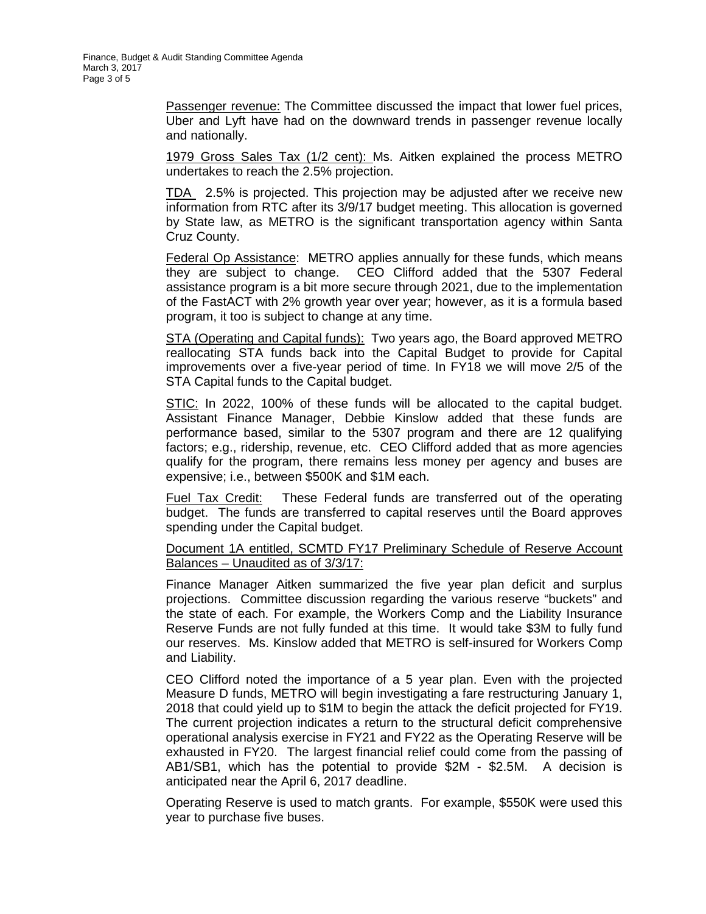Passenger revenue: The Committee discussed the impact that lower fuel prices, Uber and Lyft have had on the downward trends in passenger revenue locally and nationally.

1979 Gross Sales Tax (1/2 cent): Ms. Aitken explained the process METRO undertakes to reach the 2.5% projection.

TDA 2.5% is projected. This projection may be adjusted after we receive new information from RTC after its 3/9/17 budget meeting. This allocation is governed by State law, as METRO is the significant transportation agency within Santa Cruz County.

Federal Op Assistance: METRO applies annually for these funds, which means they are subject to change. CEO Clifford added that the 5307 Federal assistance program is a bit more secure through 2021, due to the implementation of the FastACT with 2% growth year over year; however, as it is a formula based program, it too is subject to change at any time.

STA (Operating and Capital funds): Two years ago, the Board approved METRO reallocating STA funds back into the Capital Budget to provide for Capital improvements over a five-year period of time. In FY18 we will move 2/5 of the STA Capital funds to the Capital budget.

STIC: In 2022, 100% of these funds will be allocated to the capital budget. Assistant Finance Manager, Debbie Kinslow added that these funds are performance based, similar to the 5307 program and there are 12 qualifying factors; e.g., ridership, revenue, etc. CEO Clifford added that as more agencies qualify for the program, there remains less money per agency and buses are expensive; i.e., between \$500K and \$1M each.

Fuel Tax Credit: These Federal funds are transferred out of the operating budget. The funds are transferred to capital reserves until the Board approves spending under the Capital budget.

#### Document 1A entitled, SCMTD FY17 Preliminary Schedule of Reserve Account Balances – Unaudited as of 3/3/17:

Finance Manager Aitken summarized the five year plan deficit and surplus projections. Committee discussion regarding the various reserve "buckets" and the state of each. For example, the Workers Comp and the Liability Insurance Reserve Funds are not fully funded at this time. It would take \$3M to fully fund our reserves. Ms. Kinslow added that METRO is self-insured for Workers Comp and Liability.

CEO Clifford noted the importance of a 5 year plan. Even with the projected Measure D funds, METRO will begin investigating a fare restructuring January 1, 2018 that could yield up to \$1M to begin the attack the deficit projected for FY19. The current projection indicates a return to the structural deficit comprehensive operational analysis exercise in FY21 and FY22 as the Operating Reserve will be exhausted in FY20. The largest financial relief could come from the passing of AB1/SB1, which has the potential to provide \$2M - \$2.5M. A decision is anticipated near the April 6, 2017 deadline.

Operating Reserve is used to match grants. For example, \$550K were used this year to purchase five buses.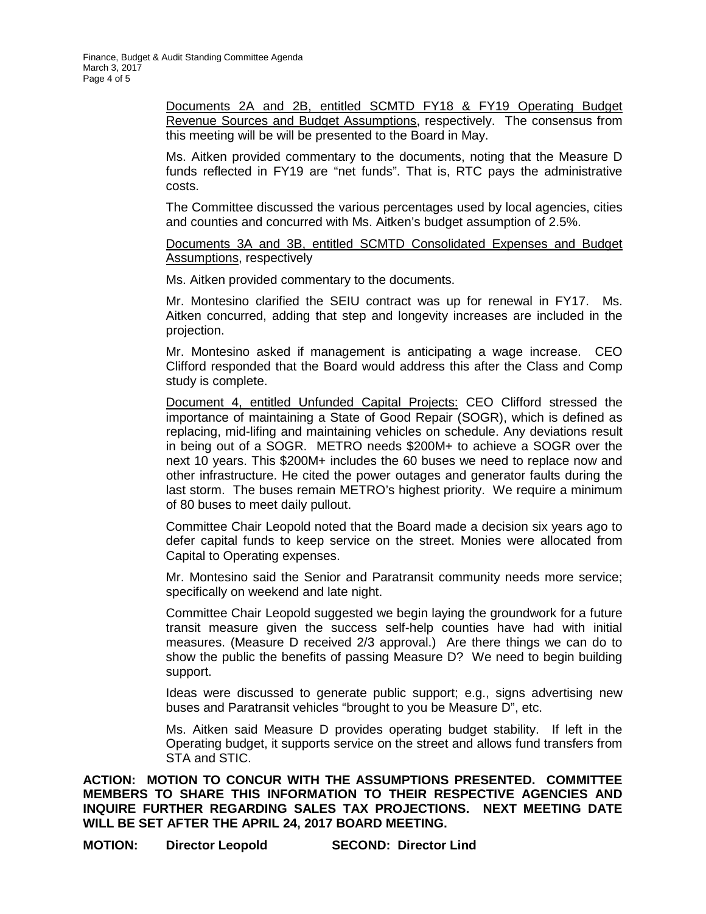Documents 2A and 2B, entitled SCMTD FY18 & FY19 Operating Budget Revenue Sources and Budget Assumptions, respectively. The consensus from this meeting will be will be presented to the Board in May.

Ms. Aitken provided commentary to the documents, noting that the Measure D funds reflected in FY19 are "net funds". That is, RTC pays the administrative costs.

The Committee discussed the various percentages used by local agencies, cities and counties and concurred with Ms. Aitken's budget assumption of 2.5%.

Documents 3A and 3B, entitled SCMTD Consolidated Expenses and Budget Assumptions, respectively

Ms. Aitken provided commentary to the documents.

Mr. Montesino clarified the SEIU contract was up for renewal in FY17. Ms. Aitken concurred, adding that step and longevity increases are included in the projection.

Mr. Montesino asked if management is anticipating a wage increase. CEO Clifford responded that the Board would address this after the Class and Comp study is complete.

Document 4, entitled Unfunded Capital Projects: CEO Clifford stressed the importance of maintaining a State of Good Repair (SOGR), which is defined as replacing, mid-lifing and maintaining vehicles on schedule. Any deviations result in being out of a SOGR. METRO needs \$200M+ to achieve a SOGR over the next 10 years. This \$200M+ includes the 60 buses we need to replace now and other infrastructure. He cited the power outages and generator faults during the last storm. The buses remain METRO's highest priority. We require a minimum of 80 buses to meet daily pullout.

Committee Chair Leopold noted that the Board made a decision six years ago to defer capital funds to keep service on the street. Monies were allocated from Capital to Operating expenses.

Mr. Montesino said the Senior and Paratransit community needs more service; specifically on weekend and late night.

Committee Chair Leopold suggested we begin laying the groundwork for a future transit measure given the success self-help counties have had with initial measures. (Measure D received 2/3 approval.) Are there things we can do to show the public the benefits of passing Measure D? We need to begin building support.

Ideas were discussed to generate public support; e.g., signs advertising new buses and Paratransit vehicles "brought to you be Measure D", etc.

Ms. Aitken said Measure D provides operating budget stability. If left in the Operating budget, it supports service on the street and allows fund transfers from STA and STIC.

**ACTION: MOTION TO CONCUR WITH THE ASSUMPTIONS PRESENTED. COMMITTEE MEMBERS TO SHARE THIS INFORMATION TO THEIR RESPECTIVE AGENCIES AND INQUIRE FURTHER REGARDING SALES TAX PROJECTIONS. NEXT MEETING DATE WILL BE SET AFTER THE APRIL 24, 2017 BOARD MEETING.** 

**MOTION: Director Leopold SECOND: Director Lind**